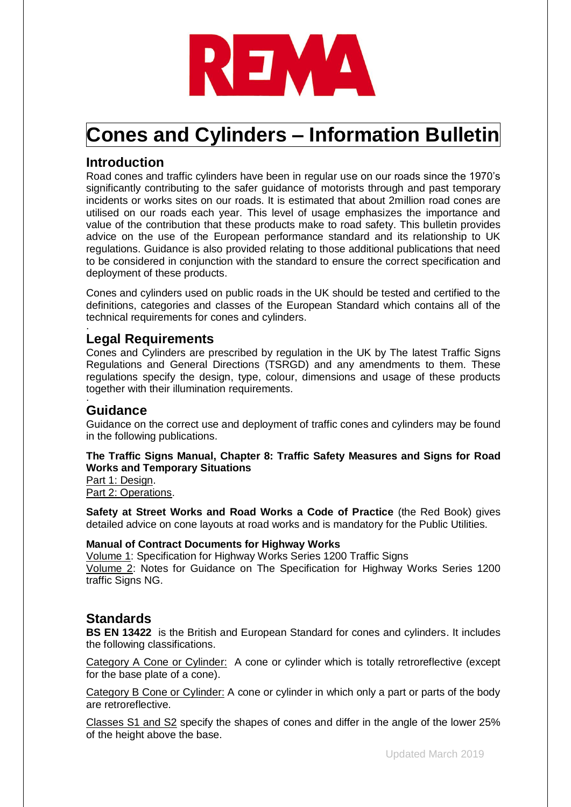

# **Cones and Cylinders – Information Bulletin**

## **Introduction**

Road cones and traffic cylinders have been in regular use on our roads since the 1970's significantly contributing to the safer guidance of motorists through and past temporary incidents or works sites on our roads. It is estimated that about 2million road cones are utilised on our roads each year. This level of usage emphasizes the importance and value of the contribution that these products make to road safety. This bulletin provides advice on the use of the European performance standard and its relationship to UK regulations. Guidance is also provided relating to those additional publications that need to be considered in conjunction with the standard to ensure the correct specification and deployment of these products.

Cones and cylinders used on public roads in the UK should be tested and certified to the definitions, categories and classes of the European Standard which contains all of the technical requirements for cones and cylinders. .

## **Legal Requirements**

Cones and Cylinders are prescribed by regulation in the UK by The latest Traffic Signs Regulations and General Directions (TSRGD) and any amendments to them. These regulations specify the design, type, colour, dimensions and usage of these products together with their illumination requirements. .

## **Guidance**

Guidance on the correct use and deployment of traffic cones and cylinders may be found in the following publications.

#### **The Traffic Signs Manual, Chapter 8: Traffic Safety Measures and Signs for Road Works and Temporary Situations**

Part 1: Design. Part 2: Operations.

**Safety at Street Works and Road Works a Code of Practice** (the Red Book) gives detailed advice on cone layouts at road works and is mandatory for the Public Utilities.

#### **Manual of Contract Documents for Highway Works**

Volume 1: Specification for Highway Works Series 1200 Traffic Signs Volume 2: Notes for Guidance on The Specification for Highway Works Series 1200 traffic Signs NG.

## **Standards**

**BS EN 13422** is the British and European Standard for cones and cylinders. It includes the following classifications.

Category A Cone or Cylinder: A cone or cylinder which is totally retroreflective (except for the base plate of a cone).

Category B Cone or Cylinder: A cone or cylinder in which only a part or parts of the body are retroreflective.

Classes S1 and S2 specify the shapes of cones and differ in the angle of the lower 25% of the height above the base.